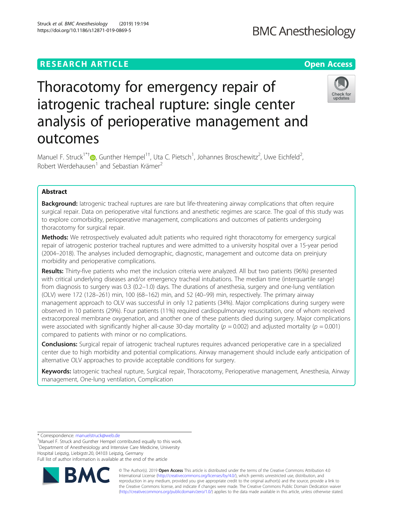## **RESEARCH ARTICLE Example 2014 12:30 The Contract of Contract ACCESS**

# Thoracotomy for emergency repair of iatrogenic tracheal rupture: single center analysis of perioperative management and outcomes

Manuel F. Struck<sup>1\*[†](http://orcid.org/0000-0002-0070-3406)</sup>®, Gunther Hempel<sup>1†</sup>, Uta C. Pietsch<sup>1</sup>, Johannes Broschewitz<sup>2</sup>, Uwe Eichfeld<sup>2</sup> , Robert Werdehausen<sup>1</sup> and Sebastian Krämer<sup>2</sup>

## Abstract

**Background:** latrogenic tracheal ruptures are rare but life-threatening airway complications that often require surgical repair. Data on perioperative vital functions and anesthetic regimes are scarce. The goal of this study was to explore comorbidity, perioperative management, complications and outcomes of patients undergoing thoracotomy for surgical repair.

Methods: We retrospectively evaluated adult patients who required right thoracotomy for emergency surgical repair of iatrogenic posterior tracheal ruptures and were admitted to a university hospital over a 15-year period (2004–2018). The analyses included demographic, diagnostic, management and outcome data on preinjury morbidity and perioperative complications.

Results: Thirty-five patients who met the inclusion criteria were analyzed. All but two patients (96%) presented with critical underlying diseases and/or emergency tracheal intubations. The median time (interquartile range) from diagnosis to surgery was 0.3 (0.2–1.0) days. The durations of anesthesia, surgery and one-lung ventilation (OLV) were 172 (128–261) min, 100 (68–162) min, and 52 (40–99) min, respectively. The primary airway management approach to OLV was successful in only 12 patients (34%). Major complications during surgery were observed in 10 patients (29%). Four patients (11%) required cardiopulmonary resuscitation, one of whom received extracorporeal membrane oxygenation, and another one of these patients died during surgery. Major complications were associated with significantly higher all-cause 30-day mortality ( $p = 0.002$ ) and adjusted mortality ( $p = 0.001$ ) compared to patients with minor or no complications.

**Conclusions:** Surgical repair of iatrogenic tracheal ruptures requires advanced perioperative care in a specialized center due to high morbidity and potential complications. Airway management should include early anticipation of alternative OLV approaches to provide acceptable conditions for surgery.

Keywords: latrogenic tracheal rupture, Surgical repair, Thoracotomy, Perioperative management, Anesthesia, Airway management, One-lung ventilation, Complication

<sup>†</sup>Manuel F. Struck and Gunther Hempel contributed equally to this work. <sup>1</sup>Department of Anesthesiology and Intensive Care Medicine, University Hospital Leipzig, Liebigstr.20, 04103 Leipzig, Germany

Full list of author information is available at the end of the article

© The Author(s). 2019 **Open Access** This article is distributed under the terms of the Creative Commons Attribution 4.0 International License [\(http://creativecommons.org/licenses/by/4.0/](http://creativecommons.org/licenses/by/4.0/)), which permits unrestricted use, distribution, and reproduction in any medium, provided you give appropriate credit to the original author(s) and the source, provide a link to the Creative Commons license, and indicate if changes were made. The Creative Commons Public Domain Dedication waiver [\(http://creativecommons.org/publicdomain/zero/1.0/](http://creativecommons.org/publicdomain/zero/1.0/)) applies to the data made available in this article, unless otherwise stated.







<sup>\*</sup> Correspondence: [manuelstruck@web.de](mailto:manuelstruck@web.de) †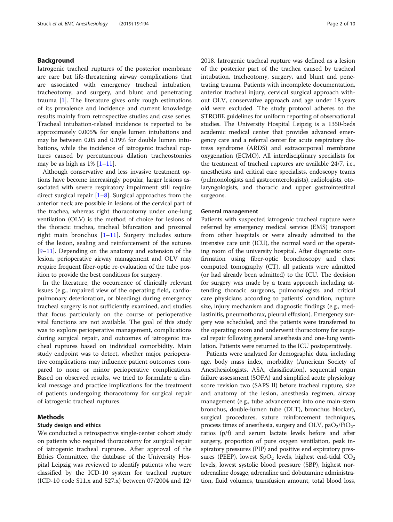## Background

Iatrogenic tracheal ruptures of the posterior membrane are rare but life-threatening airway complications that are associated with emergency tracheal intubation, tracheotomy, and surgery, and blunt and penetrating trauma [\[1](#page-9-0)]. The literature gives only rough estimations of its prevalence and incidence and current knowledge results mainly from retrospective studies and case series. Tracheal intubation-related incidence is reported to be approximately 0.005% for single lumen intubations and may be between 0.05 and 0.19% for double lumen intubations, while the incidence of iatrogenic tracheal ruptures caused by percutaneous dilation tracheostomies may be as high as  $1\%$  $1\%$   $[1-11]$  $[1-11]$ .

Although conservative and less invasive treatment options have become increasingly popular, larger lesions associated with severe respiratory impairment still require direct surgical repair  $[1-8]$  $[1-8]$  $[1-8]$ . Surgical approaches from the anterior neck are possible in lesions of the cervical part of the trachea, whereas right thoracotomy under one-lung ventilation (OLV) is the method of choice for lesions of the thoracic trachea, tracheal bifurcation and proximal right main bronchus [[1](#page-9-0)–[11\]](#page-9-0). Surgery includes suture of the lesion, sealing and reinforcement of the sutures [[9](#page-9-0)–[11](#page-9-0)]. Depending on the anatomy and extension of the lesion, perioperative airway management and OLV may require frequent fiber-optic re-evaluation of the tube position to provide the best conditions for surgery.

In the literature, the occurrence of clinically relevant issues (e.g., impaired view of the operating field, cardiopulmonary deterioration, or bleeding) during emergency tracheal surgery is not sufficiently examined, and studies that focus particularly on the course of perioperative vital functions are not available. The goal of this study was to explore perioperative management, complications during surgical repair, and outcomes of iatrogenic tracheal ruptures based on individual comorbidity. Main study endpoint was to detect, whether major perioperative complications may influence patient outcomes compared to none or minor perioperative complications. Based on observed results, we tried to formulate a clinical message and practice implications for the treatment of patients undergoing thoracotomy for surgical repair of iatrogenic tracheal ruptures.

## Methods

## Study design and ethics

We conducted a retrospective single-center cohort study on patients who required thoracotomy for surgical repair of iatrogenic tracheal ruptures. After approval of the Ethics Committee, the database of the University Hospital Leipzig was reviewed to identify patients who were classified by the ICD-10 system for tracheal rupture (ICD-10 code S11.x and S27.x) between 07/2004 and 12/

2018. Iatrogenic tracheal rupture was defined as a lesion of the posterior part of the trachea caused by tracheal intubation, tracheotomy, surgery, and blunt and penetrating trauma. Patients with incomplete documentation, anterior tracheal injury, cervical surgical approach without OLV, conservative approach and age under 18 years old were excluded. The study protocol adheres to the STROBE guidelines for uniform reporting of observational studies. The University Hospital Leipzig is a 1350-beds academic medical center that provides advanced emergency care and a referral center for acute respiratory distress syndrome (ARDS) and extracorporeal membrane oxygenation (ECMO). All interdisciplinary specialists for the treatment of tracheal ruptures are available 24/7, i.e., anesthetists and critical care specialists, endoscopy teams (pulmonologists and gastroenterologists), radiologists, otolaryngologists, and thoracic and upper gastrointestinal surgeons.

### General management

Patients with suspected iatrogenic tracheal rupture were referred by emergency medical service (EMS) transport from other hospitals or were already admitted to the intensive care unit (ICU), the normal ward or the operating room of the university hospital. After diagnostic confirmation using fiber-optic bronchoscopy and chest computed tomography (CT), all patients were admitted (or had already been admitted) to the ICU. The decision for surgery was made by a team approach including attending thoracic surgeons, pulmonologists and critical care physicians according to patients' condition, rupture size, injury mechanism and diagnostic findings (e.g., mediastinitis, pneumothorax, pleural effusion). Emergency surgery was scheduled, and the patients were transferred to the operating room and underwent thoracotomy for surgical repair following general anesthesia and one-lung ventilation. Patients were returned to the ICU postoperatively.

Patients were analyzed for demographic data, including age, body mass index, morbidity (American Society of Anesthesiologists, ASA, classification), sequential organ failure assessment (SOFA) and simplified acute physiology score revision two (SAPS II) before tracheal rupture, size and anatomy of the lesion, anesthesia regimen, airway management (e.g., tube advancement into one main-stem bronchus, double-lumen tube (DLT), bronchus blocker), surgical procedures, suture reinforcement techniques, process times of anesthesia, surgery and OLV,  $paO<sub>2</sub>/FiO<sub>2</sub>$ ratios (p/f) and serum lactate levels before and after surgery, proportion of pure oxygen ventilation, peak inspiratory pressures (PIP) and positive end expiratory pressures (PEEP), lowest  $SpO<sub>2</sub>$  levels, highest end-tidal  $CO<sub>2</sub>$ levels, lowest systolic blood pressure (SBP), highest noradrenaline dosage, adrenaline and dobutamine administration, fluid volumes, transfusion amount, total blood loss,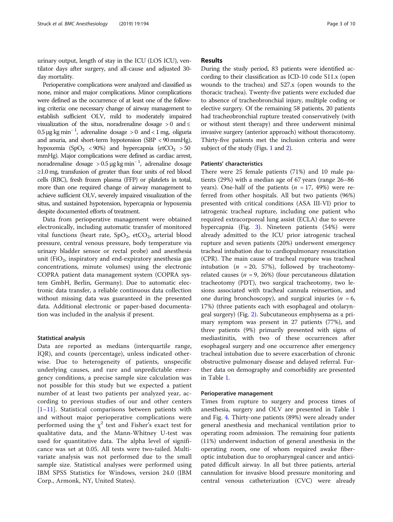urinary output, length of stay in the ICU (LOS ICU), ventilator days after surgery, and all-cause and adjusted 30 day mortality.

Perioperative complications were analyzed and classified as none, minor and major complications. Minor complications were defined as the occurrence of at least one of the following criteria: one necessary change of airway management to establish sufficient OLV, mild to moderately impaired visualization of the situs, noradrenaline dosage  $>0$  and  $\leq$ 0.5 μg kg min<sup>-1</sup>, adrenaline dosage > 0 and < 1 mg, oliguria and anuria, and short-term hypotension (SBP < 90 mmHg), hypoxemia (SpO<sub>2</sub> < 90%) and hypercapnia (etCO<sub>2</sub> > 50 mmHg). Major complications were defined as cardiac arrest, noradrenaline dosage > 0.5 μg kg min<sup>−</sup> <sup>1</sup> , adrenaline dosage ≥1.0 mg, transfusion of greater than four units of red blood cells (RBC), fresh frozen plasma (FFP) or platelets in total, more than one required change of airway management to achieve sufficient OLV, severely impaired visualization of the situs, and sustained hypotension, hypercapnia or hypoxemia despite documented efforts of treatment.

Data from perioperative management were obtained electronically, including automatic transfer of monitored vital functions (heart rate,  $SpO<sub>2</sub>$ , etCO<sub>2</sub>, arterial blood pressure, central venous pressure, body temperature via urinary bladder sensor or rectal probe) and anesthesia unit (FiO<sub>2</sub>, inspiratory and end-expiratory anesthesia gas concentrations, minute volumes) using the electronic COPRA patient data management system (COPRA system GmbH, Berlin, Germany). Due to automatic electronic data transfer, a reliable continuous data collection without missing data was guaranteed in the presented data. Additional electronic or paper-based documentation was included in the analysis if present.

#### Statistical analysis

Data are reported as medians (interquartile range, IQR), and counts (percentage), unless indicated otherwise. Due to heterogeneity of patients, unspecific underlying causes, and rare and unpredictable emergency conditions, a precise sample size calculation was not possible for this study but we expected a patient number of at least two patients per analyzed year, according to previous studies of our and other centers [[1](#page-9-0)–[11\]](#page-9-0). Statistical comparisons between patients with and without major perioperative complications were performed using the  $\chi^2$  test and Fisher's exact test for qualitative data, and the Mann-Whitney U-test was used for quantitative data. The alpha level of significance was set at 0.05. All tests were two-tailed. Multivariate analysis was not performed due to the small sample size. Statistical analyses were performed using IBM SPSS Statistics for Windows, version 24.0 (IBM Corp., Armonk, NY, United States).

## Results

During the study period, 83 patients were identified according to their classification as ICD-10 code S11.x (open wounds to the trachea) and S27.x (open wounds to the thoracic trachea). Twenty-five patients were excluded due to absence of tracheobronchial injury, multiple coding or elective surgery. Of the remaining 58 patients, 20 patients had tracheobronchial rupture treated conservatively (with or without stent therapy) and three underwent minimal invasive surgery (anterior approach) without thoracotomy. Thirty-five patients met the inclusion criteria and were subject of the study (Figs. [1](#page-3-0) and [2](#page-4-0)).

## Patients' characteristics

There were 25 female patients (71%) and 10 male patients (29%) with a median age of 67 years (range 26–86 years). One-half of the patients ( $n = 17, 49\%$ ) were referred from other hospitals. All but two patients (96%) presented with critical conditions (ASA III-VI) prior to iatrogenic tracheal rupture, including one patient who required extracorporeal lung assist (ECLA) due to severe hypercapnia (Fig. [3\)](#page-4-0). Nineteen patients (54%) were already admitted to the ICU prior iatrogenic tracheal rupture and seven patients (20%) underwent emergency tracheal intubation due to cardiopulmonary resuscitation (CPR). The main cause of tracheal rupture was tracheal intubation ( $n = 20, 57\%)$ , followed by tracheotomyrelated causes ( $n = 9, 26\%$ ) (four percutaneous dilatation tracheotomy (PDT), two surgical tracheotomy, two lesions associated with tracheal cannula reinsertion, and one during bronchoscopy), and surgical injuries ( $n = 6$ , 17%) (three patients each with esophageal and otolaryngeal surgery) (Fig. [2\)](#page-4-0). Subcutaneous emphysema as a primary symptom was present in 27 patients (77%), and three patients (9%) primarily presented with signs of mediastinitis, with two of these occurrences after esophageal surgery and one occurrence after emergency tracheal intubation due to severe exacerbation of chronic obstructive pulmonary disease and delayed referral. Further data on demography and comorbidity are presented in Table [1.](#page-5-0)

#### Perioperative management

Times from rupture to surgery and process times of anesthesia, surgery and OLV are presented in Table [1](#page-5-0) and Fig. [4.](#page-6-0) Thirty-one patients (89%) were already under general anesthesia and mechanical ventilation prior to operating room admission. The remaining four patients (11%) underwent induction of general anesthesia in the operating room, one of whom required awake fiberoptic intubation due to oropharyngeal cancer and anticipated difficult airway. In all but three patients, arterial cannulation for invasive blood pressure monitoring and central venous catheterization (CVC) were already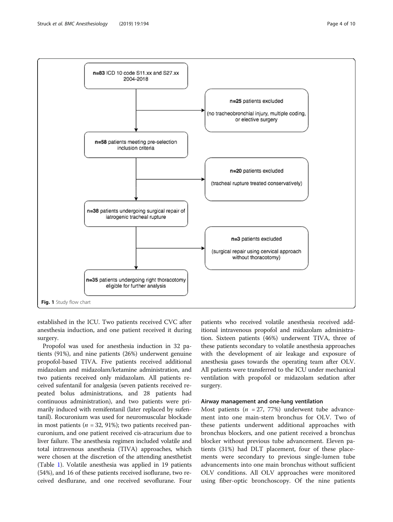<span id="page-3-0"></span>

established in the ICU. Two patients received CVC after anesthesia induction, and one patient received it during surgery.

Propofol was used for anesthesia induction in 32 patients (91%), and nine patients (26%) underwent genuine propofol-based TIVA. Five patients received additional midazolam and midazolam/ketamine administration, and two patients received only midazolam. All patients received sufentanil for analgesia (seven patients received repeated bolus administrations, and 28 patients had continuous administration), and two patients were primarily induced with remifentanil (later replaced by sufentanil). Rocuronium was used for neuromuscular blockade in most patients ( $n = 32, 91\%$ ); two patients received pancuronium, and one patient received cis-atracurium due to liver failure. The anesthesia regimen included volatile and total intravenous anesthesia (TIVA) approaches, which were chosen at the discretion of the attending anesthetist (Table [1](#page-5-0)). Volatile anesthesia was applied in 19 patients (54%), and 16 of these patients received isoflurane, two received desflurane, and one received sevoflurane. Four patients who received volatile anesthesia received additional intravenous propofol and midazolam administration. Sixteen patients (46%) underwent TIVA, three of these patients secondary to volatile anesthesia approaches with the development of air leakage and exposure of anesthesia gases towards the operating team after OLV. All patients were transferred to the ICU under mechanical ventilation with propofol or midazolam sedation after surgery.

### Airway management and one-lung ventilation

Most patients ( $n = 27, 77\%)$  underwent tube advancement into one main-stem bronchus for OLV. Two of these patients underwent additional approaches with bronchus blockers, and one patient received a bronchus blocker without previous tube advancement. Eleven patients (31%) had DLT placement, four of these placements were secondary to previous single-lumen tube advancements into one main bronchus without sufficient OLV conditions. All OLV approaches were monitored using fiber-optic bronchoscopy. Of the nine patients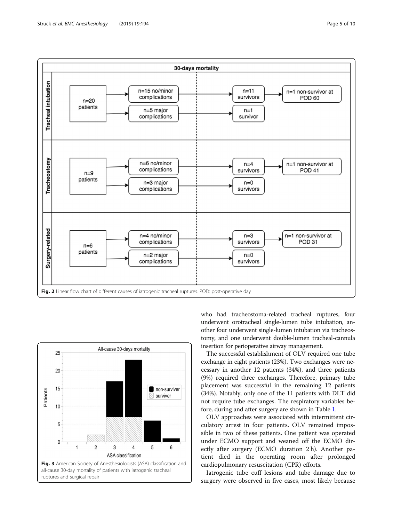<span id="page-4-0"></span>



who had tracheostoma-related tracheal ruptures, four underwent orotracheal single-lumen tube intubation, another four underwent single-lumen intubation via tracheostomy, and one underwent double-lumen tracheal-cannula insertion for perioperative airway management.

The successful establishment of OLV required one tube exchange in eight patients (23%). Two exchanges were necessary in another 12 patients (34%), and three patients (9%) required three exchanges. Therefore, primary tube placement was successful in the remaining 12 patients (34%). Notably, only one of the 11 patients with DLT did not require tube exchanges. The respiratory variables before, during and after surgery are shown in Table [1](#page-5-0).

OLV approaches were associated with intermittent circulatory arrest in four patients. OLV remained impossible in two of these patients. One patient was operated under ECMO support and weaned off the ECMO directly after surgery (ECMO duration 2 h). Another patient died in the operating room after prolonged cardiopulmonary resuscitation (CPR) efforts.

Iatrogenic tube cuff lesions and tube damage due to surgery were observed in five cases, most likely because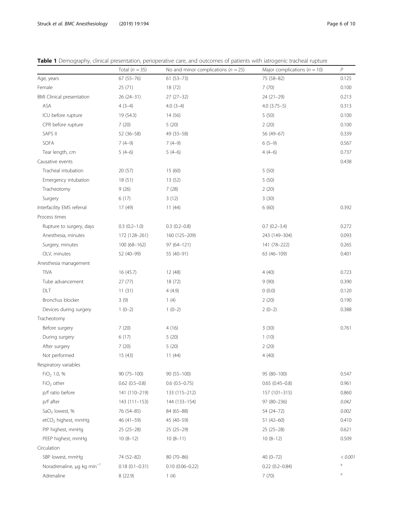| Page 6 of 10 |  |  |
|--------------|--|--|
|              |  |  |

<span id="page-5-0"></span>

| Table 1 Demography, clinical presentation, perioperative care, and outcomes of patients with iatrogenic tracheal rupture |  |  |  |
|--------------------------------------------------------------------------------------------------------------------------|--|--|--|

|                                             | Total ( $n = 35$ ) | No and minor complications ( $n = 25$ ) | Major complications ( $n = 10$ ) | $\boldsymbol{P}$ |
|---------------------------------------------|--------------------|-----------------------------------------|----------------------------------|------------------|
| Age, years                                  | $67(55 - 76)$      | $61(53 - 73)$                           | 75 (58-82)                       | 0.125            |
| Female                                      | 25 (71)            | 18 (72)                                 | 7(70)                            | 0.100            |
| <b>BMI Clinical presentation</b>            | $26(24-31)$        | $27(27-32)$                             | $24(21-29)$                      | 0.213            |
| ASA                                         | $4(3-4)$           | $4.0(3-4)$                              | $4.0(3.75-5)$                    | 0.313            |
| ICU before rupture                          | 19 (54.3)          | 14 (56)                                 | 5(50)                            | 0.100            |
| CPR before rupture                          | 7(20)              | 5(20)                                   | 2(20)                            | 0.100            |
| SAPS II                                     | $52(36-58)$        | 49 (33-58)                              | 56 (49-67)                       | 0.339            |
| SOFA                                        | $7(4-9)$           | $7(4-9)$                                | $6(5-9)$                         | 0.567            |
| Tear length, cm                             | $5(4-6)$           | $5(4-6)$                                | $4(4-6)$                         | 0.737            |
| Causative events                            |                    |                                         |                                  | 0.438            |
| Tracheal intubation                         | 20(57)             | 15 (60)                                 | 5(50)                            |                  |
| Emergency intubation                        | 18(51)             | 13(52)                                  | 5(50)                            |                  |
| Tracheotomy                                 | 9(26)              | 7(28)                                   | 2(20)                            |                  |
| Surgery                                     | 6(17)              | 3(12)                                   | 3(30)                            |                  |
| Interfacility EMS referral                  | 17 (49)            | 11(44)                                  | 6(60)                            | 0.392            |
| Process times                               |                    |                                         |                                  |                  |
| Rupture to surgery, days                    | $0.3(0.2-1.0)$     | $0.3(0.2 - 0.8)$                        | $0.7(0.2 - 3.4)$                 | 0.272            |
| Anesthesia, minutes                         | 172 (128-261)      | 160 (125-209)                           | 243 (149-304)                    | 0.093            |
| Surgery, minutes                            | $100(68 - 162)$    | $97(64 - 121)$                          | 141 (78-222)                     | 0.265            |
| OLV, minutes                                | 52 (40-99)         | 55 (40-91)                              | 63 (46-109)                      | 0.401            |
| Anesthesia management                       |                    |                                         |                                  |                  |
| <b>TIVA</b>                                 | 16 (45.7)          | 12 (48)                                 | 4(40)                            | 0.723            |
| Tube advancement                            | 27 (77)            | 18 (72)                                 | 9(90)                            | 0.390            |
| DLT                                         | 11(31)             | 4(4.9)                                  | 0(0.0)                           | 0.120            |
| Bronchus blocker                            | 3(9)               | 1(4)                                    | 2(20)                            | 0.190            |
| Devices during surgery                      | $1(0-2)$           | $1(0-2)$                                | $2(0-2)$                         | 0.388            |
| Tracheotomy                                 |                    |                                         |                                  |                  |
| Before surgery                              | 7(20)              | 4(16)                                   | 3(30)                            | 0.761            |
| During surgery                              | 6(17)              | 5(20)                                   | 1(10)                            |                  |
| After surgery                               | 7(20)              | 5(20)                                   | 2(20)                            |                  |
| Not performed                               | 15(43)             | 11(44)                                  | 4(40)                            |                  |
| Respiratory variables                       |                    |                                         |                                  |                  |
| FiO <sub>2</sub> 1.0, %                     | $90(75 - 100)$     | $90(55 - 100)$                          | 95 (80-100)                      | 0.547            |
| $FiO2$ other                                | $0.62(0.5-0.8)$    | $0.6(0.5-0.75)$                         | $0.65(0.45-0.8)$                 | 0.961            |
| p/f ratio before                            | 141 (110-219)      | 133 (115-212)                           | 157 (101-315)                    | 0.860            |
| p/f after                                   | $143(111-153)$     | 144 (133-154)                           | 97 (80-236)                      | 0.042            |
| SaO <sub>2</sub> lowest, %                  | 76 (54-85)         | 84 (65-88)                              | 54 (24-72)                       | 0.002            |
| etCO <sub>2</sub> highest, mmHg             | $46(41-59)$        | 45 (40-59)                              | $51(42-60)$                      | 0.410            |
| PIP highest, mmHg                           | $25(25-28)$        | 25 (25-29)                              | $25(25-28)$                      | 0.621            |
| PEEP highest, mmHg                          | $10(8-12)$         | $10(8-11)$                              | $10(8-12)$                       | 0.509            |
| Circulation                                 |                    |                                         |                                  |                  |
| SBP lowest, mmHq                            | 74 (52-82)         | 80 (70-86)                              | $40(0 - 72)$                     | < 0.001          |
| Noradrenaline, $\mu q$ kg min <sup>-1</sup> | $0.18(0.1 - 0.31)$ | $0.10(0.06 - 0.22)$                     | $0.22(0.2 - 0.84)$               | a                |
| Adrenaline                                  | 8 (22.9)           | 1(4)                                    | 7(70)                            | a                |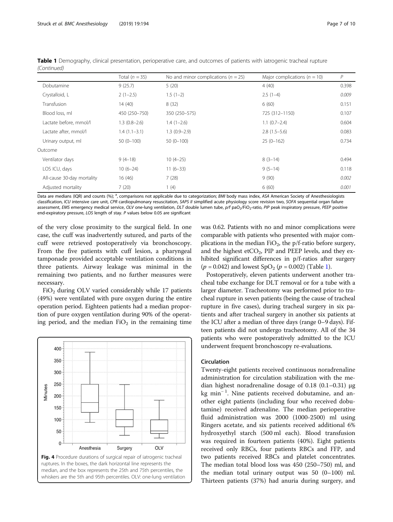|                            | Total ( $n = 35$ ) | No and minor complications ( $n = 25$ ) | Major complications ( $n = 10$ ) | $\mathcal{P}$ |
|----------------------------|--------------------|-----------------------------------------|----------------------------------|---------------|
| Dobutamine                 | 9(25.7)            | 5(20)                                   | 4(40)                            | 0.398         |
| Crystalloid, L             | $2(1-2.5)$         | $1.5(1-2)$                              | $2.5(1-4)$                       | 0.009         |
| Transfusion                | 14(40)             | 8(32)                                   | 6(60)                            | 0.151         |
| Blood loss, ml             | 450 (250-750)      | 350 (250-575)                           | 725 (312-1150)                   | 0.107         |
| Lactate before, mmol/l     | $1.3(0.8-2.6)$     | $1.4(1-2.6)$                            | $1.1(0.7-2.4)$                   | 0.604         |
| Lactate after, mmol/l      | $1.4(1.1-3.1)$     | $1.3(0.9-2.9)$                          | $2.8(1.5-5.6)$                   | 0.083         |
| Urinary output, ml         | $50(0-100)$        | $50(0-100)$                             | $25(0-162)$                      | 0.734         |
| Outcome                    |                    |                                         |                                  |               |
| Ventilator days            | $9(4-18)$          | $10(4-25)$                              | $8(3-14)$                        | 0.494         |
| LOS ICU, days              | $10(6-24)$         | $11(6-33)$                              | $9(5-14)$                        | 0.118         |
| All-cause 30-day mortality | 16(46)             | 7(28)                                   | 9(90)                            | 0.002         |
| Adjusted mortality         | 7(20)              | 1(4)                                    | 6(60)                            | 0.001         |

<span id="page-6-0"></span>Table 1 Demography, clinical presentation, perioperative care, and outcomes of patients with iatrogenic tracheal rupture (Continued)

Data are medians (IQR) and counts (%); <sup>a</sup>, comparisons not applicable due to categorization; BMI body mass index, ASA American Society of Anesthesiologists<br>classification, ICU intensive care unit. CPR cardionylmonary resu classification, ICU intensive care unit, CPR cardiopulmonary resuscitation, SAPS II simplified acute physiology score revision two, SOFA sequential organ failure assessment, EMS emergency medical service, OLV one-lung ventilation, DLT double lumen tube, p/f paO<sub>2</sub>/FiO<sub>2</sub>-ratio, PIP peak inspiratory pressure, PEEP positive end-expiratory pressure, LOS length of stay. P values below 0.05 are significant

of the very close proximity to the surgical field. In one case, the cuff was inadvertently sutured, and parts of the cuff were retrieved postoperatively via bronchoscopy. From the five patients with cuff lesion, a pharyngeal tamponade provided acceptable ventilation conditions in three patients. Airway leakage was minimal in the remaining two patients, and no further measures were necessary.

 $FiO<sub>2</sub>$  during OLV varied considerably while 17 patients (49%) were ventilated with pure oxygen during the entire operation period. Eighteen patients had a median proportion of pure oxygen ventilation during 90% of the operating period, and the median  $FiO<sub>2</sub>$  in the remaining time



was 0.62. Patients with no and minor complications were comparable with patients who presented with major complications in the median FiO<sub>2</sub>, the p/f-ratio before surgery, and the highest  $etCO<sub>2</sub>$ , PIP and PEEP levels, and they exhibited significant differences in p/f-ratios after surgery  $(p = 0.042)$  and lowest SpO<sub>2</sub> ( $p = 0.002$ ) (Table [1\)](#page-5-0).

Postoperatively, eleven patients underwent another tracheal tube exchange for DLT removal or for a tube with a larger diameter. Tracheotomy was performed prior to tracheal rupture in seven patients (being the cause of tracheal rupture in five cases), during tracheal surgery in six patients and after tracheal surgery in another six patients at the ICU after a median of three days (range 0–9 days). Fifteen patients did not undergo tracheotomy. All of the 34 patients who were postoperatively admitted to the ICU underwent frequent bronchoscopy re-evaluations.

## Circulation

Twenty-eight patients received continuous noradrenaline administration for circulation stabilization with the median highest noradrenaline dosage of 0.18 (0.1–0.31) μg kg min<sup>-1</sup>. Nine patients received dobutamine, and another eight patients (including four who received dobutamine) received adrenaline. The median perioperative fluid administration was 2000 (1000-2500) ml using Ringers acetate, and six patients received additional 6% hydroxyethyl starch (500 ml each). Blood transfusion was required in fourteen patients (40%). Eight patients received only RBCs, four patients RBCs and FFP, and two patients received RBCs and platelet concentrates. The median total blood loss was 450 (250–750) ml, and the median total urinary output was  $50$  (0–100) ml. Thirteen patients (37%) had anuria during surgery, and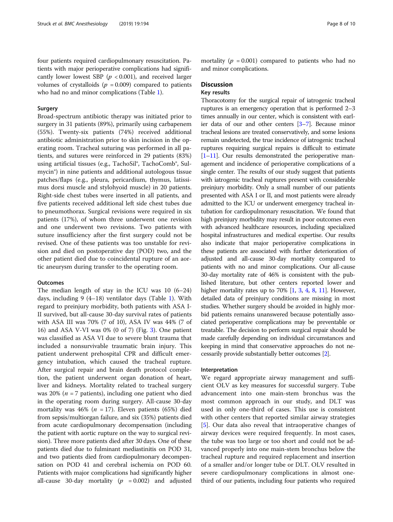four patients required cardiopulmonary resuscitation. Patients with major perioperative complications had significantly lower lowest SBP ( $p < 0.001$ ), and received larger volumes of crystalloids ( $p = 0.009$ ) compared to patients who had no and minor complications (Table [1\)](#page-5-0).

## Surgery

Broad-spectrum antibiotic therapy was initiated prior to surgery in 31 patients (89%), primarily using carbapenem (55%). Twenty-six patients (74%) received additional antibiotic administration prior to skin incision in the operating room. Tracheal suturing was performed in all patients, and sutures were reinforced in 29 patients (83%) using artificial tissues (e.g., TachoSil®, TachoComb®, Sulmycin®) in nine patients and additional autologous tissue patches/flaps (e.g., pleura, pericardium, thymus, latissimus dorsi muscle and stylohyoid muscle) in 20 patients. Right-side chest tubes were inserted in all patients, and five patients received additional left side chest tubes due to pneumothorax. Surgical revisions were required in six patients (17%), of whom three underwent one revision and one underwent two revisions. Two patients with suture insufficiency after the first surgery could not be revised. One of these patients was too unstable for revision and died on postoperative day (POD) two, and the other patient died due to coincidental rupture of an aortic aneurysm during transfer to the operating room.

## **Outcomes**

The median length of stay in the ICU was 10 (6–24) days, including 9 (4–18) ventilator days (Table [1\)](#page-5-0). With regard to preinjury morbidity, both patients with ASA I-II survived, but all-cause 30-day survival rates of patients with ASA III was 70% (7 of 10), ASA IV was 44% (7 of 16) and ASA V-VI was 0% (0 of 7) (Fig. [3](#page-4-0)). One patient was classified as ASA VI due to severe blunt trauma that included a nonsurvivable traumatic brain injury. This patient underwent prehospital CPR and difficult emergency intubation, which caused the tracheal rupture. After surgical repair and brain death protocol completion, the patient underwent organ donation of heart, liver and kidneys. Mortality related to tracheal surgery was 20% ( $n = 7$  patients), including one patient who died in the operating room during surgery. All-cause 30-day mortality was 46% ( $n = 17$ ). Eleven patients (65%) died from sepsis/multiorgan failure, and six (35%) patients died from acute cardiopulmonary decompensation (including the patient with aortic rupture on the way to surgical revision). Three more patients died after 30 days. One of these patients died due to fulminant mediastinitis on POD 31, and two patients died from cardiopulmonary decompensation on POD 41 and cerebral ischemia on POD 60. Patients with major complications had significantly higher all-cause 30-day mortality ( $p = 0.002$ ) and adjusted mortality ( $p = 0.001$ ) compared to patients who had no and minor complications.

## **Discussion**

## Key results

Thoracotomy for the surgical repair of iatrogenic tracheal ruptures is an emergency operation that is performed 2–3 times annually in our center, which is consistent with earlier data of our and other centers [\[3](#page-9-0)–[7](#page-9-0)]. Because minor tracheal lesions are treated conservatively, and some lesions remain undetected, the true incidence of iatrogenic tracheal ruptures requiring surgical repairs is difficult to estimate [[1](#page-9-0)–[11\]](#page-9-0). Our results demonstrated the perioperative management and incidence of perioperative complications of a single center. The results of our study suggest that patients with iatrogenic tracheal ruptures present with considerable preinjury morbidity. Only a small number of our patients presented with ASA I or II, and most patients were already admitted to the ICU or underwent emergency tracheal intubation for cardiopulmonary resuscitation. We found that high preinjury morbidity may result in poor outcomes even with advanced healthcare resources, including specialized hospital infrastructures and medical expertise. Our results also indicate that major perioperative complications in these patients are associated with further deterioration of adjusted and all-cause 30-day mortality compared to patients with no and minor complications. Our all-cause 30-day mortality rate of 46% is consistent with the published literature, but other centers reported lower and higher mortality rates up to 70% [\[1,](#page-9-0) [3](#page-9-0), [4](#page-9-0), [8,](#page-9-0) [11\]](#page-9-0). However, detailed data of preinjury conditions are missing in most studies. Whether surgery should be avoided in highly morbid patients remains unanswered because potentially associated perioperative complications may be preventable or treatable. The decision to perform surgical repair should be made carefully depending on individual circumstances and keeping in mind that conservative approaches do not necessarily provide substantially better outcomes [\[2](#page-9-0)].

## Interpretation

We regard appropriate airway management and sufficient OLV as key measures for successful surgery. Tube advancement into one main-stem bronchus was the most common approach in our study, and DLT was used in only one-third of cases. This use is consistent with other centers that reported similar airway strategies [[5\]](#page-9-0). Our data also reveal that intraoperative changes of airway devices were required frequently. In most cases, the tube was too large or too short and could not be advanced properly into one main-stem bronchus below the tracheal rupture and required replacement and insertion of a smaller and/or longer tube or DLT. OLV resulted in severe cardiopulmonary complications in almost onethird of our patients, including four patients who required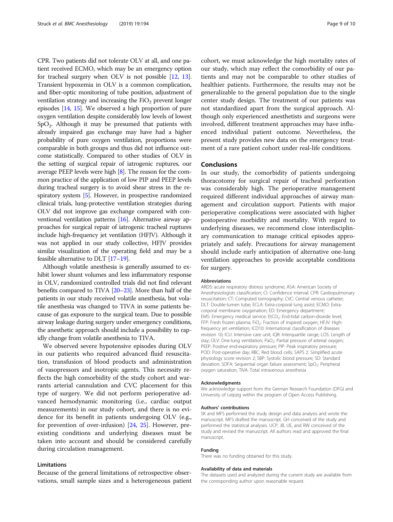CPR. Two patients did not tolerate OLV at all, and one patient received ECMO, which may be an emergency option for tracheal surgery when OLV is not possible [[12](#page-9-0), [13](#page-9-0)]. Transient hypoxemia in OLV is a common complication, and fiber-optic monitoring of tube position, adjustment of ventilation strategy and increasing the  $FiO<sub>2</sub>$  prevent longer episodes [[14](#page-9-0), [15](#page-9-0)]. We observed a high proportion of pure oxygen ventilation despite considerably low levels of lowest  $SpO<sub>2</sub>$ . Although it may be presumed that patients with already impaired gas exchange may have had a higher probability of pure oxygen ventilation, proportions were comparable in both groups and thus did not influence outcome statistically. Compared to other studies of OLV in the setting of surgical repair of iatrogenic ruptures, our average PEEP levels were high [\[8](#page-9-0)]. The reason for the common practice of the application of low PIP and PEEP levels during tracheal surgery is to avoid shear stress in the respiratory system [[5](#page-9-0)]. However, in prospective randomized clinical trials, lung-protective ventilation strategies during OLV did not improve gas exchange compared with conventional ventilation patterns [\[16](#page-9-0)]. Alternative airway approaches for surgical repair of iatrogenic tracheal ruptures include high-frequency jet ventilation (HFJV). Although it was not applied in our study collective, HFJV provides similar visualization of the operating field and may be a feasible alternative to DLT [\[17](#page-9-0)–[19\]](#page-9-0).

Although volatile anesthesia is generally assumed to exhibit lower shunt volumes and less inflammatory response in OLV, randomized controlled trials did not find relevant benefits compared to TIVA [\[20](#page-9-0)–[23\]](#page-9-0). More than half of the patients in our study received volatile anesthesia, but volatile anesthesia was changed to TIVA in some patients because of gas exposure to the surgical team. Due to possible airway leakage during surgery under emergency conditions, the anesthetic approach should include a possibility to rapidly change from volatile anesthesia to TIVA.

We observed severe hypotensive episodes during OLV in our patients who required advanced fluid resuscitation, transfusion of blood products and administration of vasopressors and inotropic agents. This necessity reflects the high comorbidity of the study cohort and warrants arterial cannulation and CVC placement for this type of surgery. We did not perform perioperative advanced hemodynamic monitoring (i.e., cardiac output measurements) in our study cohort, and there is no evidence for its benefit in patients undergoing OLV (e.g., for prevention of over-infusion) [\[24](#page-9-0), [25\]](#page-9-0). However, preexisting conditions and underlying diseases must be taken into account and should be considered carefully during circulation management.

## Limitations

Because of the general limitations of retrospective observations, small sample sizes and a heterogeneous patient cohort, we must acknowledge the high mortality rates of our study, which may reflect the comorbidity of our patients and may not be comparable to other studies of healthier patients. Furthermore, the results may not be generalizable to the general population due to the single center study design. The treatment of our patients was not standardized apart from the surgical approach. Although only experienced anesthetists and surgeons were involved, different treatment approaches may have influenced individual patient outcome. Nevertheless, the present study provides new data on the emergency treatment of a rare patient cohort under real-life conditions.

## Conclusions

In our study, the comorbidity of patients undergoing thoracotomy for surgical repair of tracheal perforation was considerably high. The perioperative management required different individual approaches of airway management and circulation support. Patients with major perioperative complications were associated with higher postoperative morbidity and mortality. With regard to underlying diseases, we recommend close interdisciplinary communication to manage critical episodes appropriately and safely. Precautions for airway management should include early anticipation of alternative one-lung ventilation approaches to provide acceptable conditions for surgery.

#### Abbreviations

ARDS: acute respiratory distress syndrome; ASA: American Society of Anesthesiologists classification; CI: Confidence interval; CPR: Cardiopulmonary resuscitation; CT: Computed tomography; CVC: Central venous catheter; DLT: Double-lumen tube; ECLA: Extra-corporal lung assist; ECMO: Extracorporal membrane oxygenation; ED: Emergency department; EMS: Emergency medical service; EtCO<sub>2</sub>: End-tidal carbon-dioxide level; FFP: Fresh frozen plasma; FiO<sub>2</sub>: Fraction of inspired oxygen; HFJV: Highfrequency jet ventilation; ICD10: International classification of diseases revision 10; ICU: Intensive care unit; IQR: Interquartile range; LOS: Length of stay; OLV: One-lung ventilation; PaO<sub>2</sub>: Partial pressure of arterial oxygen; PEEP: Positive end-expiratory pressure; PIP: Peak inspiratory pressure; POD: Post-operative day; RBC: Red blood cells; SAPS 2: Simplified acute physiology score revision 2; SBP: Systolic blood pressure; SD: Standard deviation; SOFA: Sequential organ failure assessment; SpO<sub>2</sub>: Peripheral oxygen saturation; TIVA: Total intravenous anesthesia

#### Acknowledgments

We acknowledge support from the German Research Foundation (DFG) and University of Leipzig within the program of Open Access Publishing.

#### Authors' contributions

SK and MFS performed the study design and data analysis and wrote the manuscript. MFS drafted the manuscript. GH conceived of the study and performed the statistical analyses. UCP, JB, UE, and RW conceived of the study and revised the manuscript. All authors read and approved the final manuscript.

#### Funding

There was no funding obtained for this study.

#### Availability of data and materials

The datasets used and analyzed during the current study are available from the corresponding author upon reasonable request.